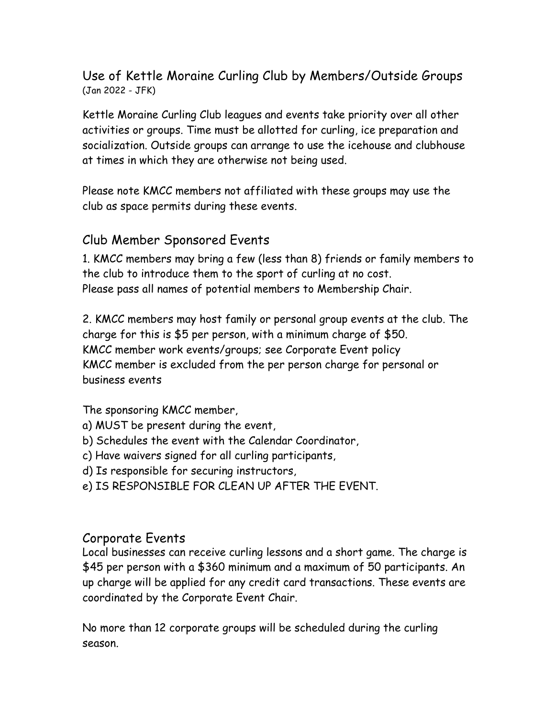### Use of Kettle Moraine Curling Club by Members/Outside Groups (Jan 2022 - JFK)

Kettle Moraine Curling Club leagues and events take priority over all other activities or groups. Time must be allotted for curling, ice preparation and socialization. Outside groups can arrange to use the icehouse and clubhouse at times in which they are otherwise not being used.

Please note KMCC members not affiliated with these groups may use the club as space permits during these events.

### Club Member Sponsored Events

1. KMCC members may bring a few (less than 8) friends or family members to the club to introduce them to the sport of curling at no cost. Please pass all names of potential members to Membership Chair.

2. KMCC members may host family or personal group events at the club. The charge for this is \$5 per person, with a minimum charge of \$50. KMCC member work events/groups; see Corporate Event policy KMCC member is excluded from the per person charge for personal or business events

The sponsoring KMCC member,

- a) MUST be present during the event,
- b) Schedules the event with the Calendar Coordinator,
- c) Have waivers signed for all curling participants,
- d) Is responsible for securing instructors,
- e) IS RESPONSIBLE FOR CLEAN UP AFTER THE EVENT.

#### Corporate Events

Local businesses can receive curling lessons and a short game. The charge is \$45 per person with a \$360 minimum and a maximum of 50 participants. An up charge will be applied for any credit card transactions. These events are coordinated by the Corporate Event Chair.

No more than 12 corporate groups will be scheduled during the curling season.